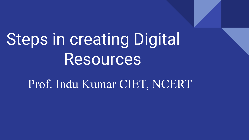# Steps in creating Digital **Resources**

Prof. Indu Kumar CIET, NCERT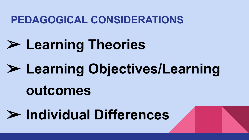### **PEDAGOGICAL CONSIDERATIONS**

# ➢ **Learning Theories**

# ➢ **Learning Objectives/Learning**

## **outcomes**

## ➢ **Individual Differences**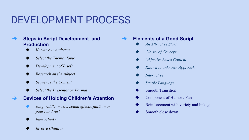### DEVELOPMENT PROCESS

- ➔ **Steps in Script Development and Production**
	- *Know your Audience*
	- Select the Theme /Topic
	- *Development of Briefs*
	- ◆ *Research on the subject*
	- **Sequence the Content**
	- *Select the Presentation Format*

#### ➔ **Devices of Holding Children's Attention**

- song, riddle, music, sound effects, fun/humor, *pause and rest*
- *Interactivity*
- ◆ *Involve Children*

➔ **Elements of a Good Script** ◆ *An Attractive Start Clarity of Concept Objective based Content* 

- *Known to unknown Approach*
- *Interactive*
- **Simple Language**
- **Smooth Transition**
- Component of Humor / Fun
- Reinforcement with variety and linkage
- Smooth close down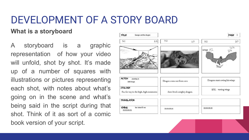### DEVELOPMENT OF A STORY BOARD

### **What is a storyboard**

A storyboard is a graphic representation of how your video will unfold, shot by shot. It's made up of a number of squares with illustrations or pictures representing each shot, with notes about what's going on in the scene and what's being said in the script during that shot. Think of it as sort of a comic book version of your script.

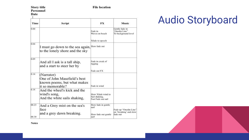**Story title** Personnel

#### Date  $\mathbf{I}$

#### **File location**

| Time           | Script                                                                                        | FX                                                          | Music                                                       |
|----------------|-----------------------------------------------------------------------------------------------|-------------------------------------------------------------|-------------------------------------------------------------|
| 0.00           |                                                                                               | Fade in<br>Wayes on beach                                   | Gentle fade in<br>'Onedin Line"<br>To background level      |
|                |                                                                                               | Xfade to speech                                             |                                                             |
| 0.04           | I must go down to the sea again, Slow fade out<br>to the lonely shore and the sky             |                                                             |                                                             |
| 0.09           | And all I ask is a tall ship,<br>and a start to steer her by                                  | Fade in creak of<br>rigging<br>Fade out FX                  |                                                             |
| 0.14           | (Narrator)<br>One of John Masefield's best<br>known poems, but what makes<br>it so memorable? | Fade in wind                                                |                                                             |
| 0.18           | And the wheel's kick and the<br>wind's song,<br>And the white sails shaking,                  | Slow Xfade wind to<br>Sail shaking,<br>Fast Fade out sail.  |                                                             |
| 00.23<br>00.30 | And a Grey mist on the sea's<br>face<br>and a grey dawn breaking.                             | Slow fade in gentle<br>surf<br>Slow fade out gentle<br>surf | Fade up "Onedin Line"<br>on 'breaking' and slow<br>fade out |

### **Audio Storyboard**



**Notes**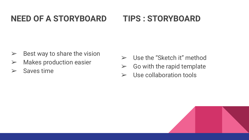#### **NEED OF A STORYBOARD TIPS : STORYBOARD**

- $\triangleright$  Best way to share the vision
- $\triangleright$  Makes production easier
- $>$  Saves time
- $\triangleright$  Use the "Sketch it" method
- $\triangleright$  Go with the rapid template
- $\triangleright$  Use collaboration tools

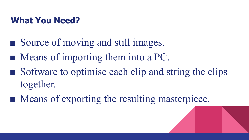### **What You Need?**

- Source of moving and still images.
- Means of importing them into a PC.
- Software to optimise each clip and string the clips together.
- Means of exporting the resulting masterpiece.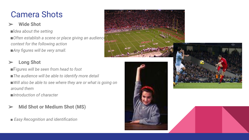### Camera Shots

### ➢ **Wide Shot**

■I*dea about the setting* 

■ Often establish a scene or place giving an audience *context for the following action ■Any figures will be very small.* 

### ➢ **Long Shot**

■F*igures will be seen from head to foot ■The audience will be able to identify more detail*  ■*Will also be able to see where they are or what is going on around them ■Introduction of character*

### ➢ **Mid Shot or Medium Shot (MS)**

**■** *Easy Recognition and identification*



 $\leq$ 0

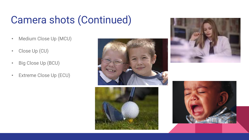## Camera shots (Continued)

- Medium Close Up (MCU)
- Close Up (CU)
- Big Close Up (BCU)
- Extreme Close Up (ECU)







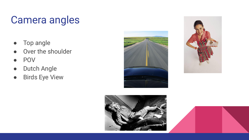## Camera angles

- Top angle
- Over the shoulder
- POV
- Dutch Angle
- Birds Eye View





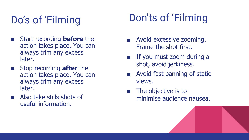## Do's of 'Filming

- Start recording **before** the action takes place. You can always trim any excess later.
- Stop recording **after** the action takes place. You can always trim any excess later.
- Also take stills shots of useful information.

## Don'ts of 'Filming

- Avoid excessive zooming. Frame the shot first.
- If you must zoom during a shot, avoid jerkiness.
- Avoid fast panning of static views.
- The objective is to minimise audience nausea.

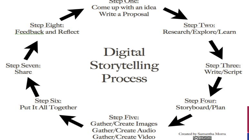Step One: Come up with an idea Write a Proposal



Step Two: Research/Explore/Learn





**Step Eight:** 

**Feedback and Reflect** 

Digital Storytelling Process

**Step Five:** Gather/Create Images Gather/Create Audio Gather/Create Video